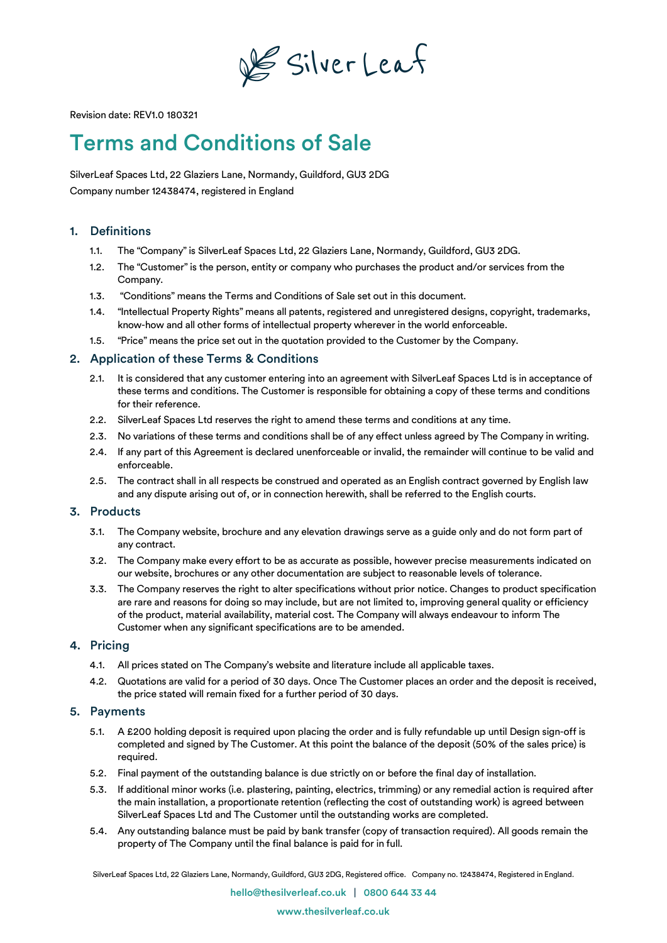

Revision date: REV1.0 180321

# Terms and Conditions of Sale

SilverLeaf Spaces Ltd, 22 Glaziers Lane, Normandy, Guildford, GU3 2DG Company number 12438474, registered in England

## 1. Definitions

- 1.1. The "Company" is SilverLeaf Spaces Ltd, 22 Glaziers Lane, Normandy, Guildford, GU3 2DG.
- 1.2. The "Customer" is the person, entity or company who purchases the product and/or services from the Company.
- 1.3. "Conditions" means the Terms and Conditions of Sale set out in this document.
- 1.4. "Intellectual Property Rights" means all patents, registered and unregistered designs, copyright, trademarks, know-how and all other forms of intellectual property wherever in the world enforceable.
- 1.5. "Price" means the price set out in the quotation provided to the Customer by the Company.

## 2. Application of these Terms & Conditions

- 2.1. It is considered that any customer entering into an agreement with SilverLeaf Spaces Ltd is in acceptance of these terms and conditions. The Customer is responsible for obtaining a copy of these terms and conditions for their reference.
- 2.2. SilverLeaf Spaces Ltd reserves the right to amend these terms and conditions at any time.
- 2.3. No variations of these terms and conditions shall be of any effect unless agreed by The Company in writing.
- 2.4. If any part of this Agreement is declared unenforceable or invalid, the remainder will continue to be valid and enforceable.
- 2.5. The contract shall in all respects be construed and operated as an English contract governed by English law and any dispute arising out of, or in connection herewith, shall be referred to the English courts.

## 3. Products

- 3.1. The Company website, brochure and any elevation drawings serve as a guide only and do not form part of any contract.
- 3.2. The Company make every effort to be as accurate as possible, however precise measurements indicated on our website, brochures or any other documentation are subject to reasonable levels of tolerance.
- 3.3. The Company reserves the right to alter specifications without prior notice. Changes to product specification are rare and reasons for doing so may include, but are not limited to, improving general quality or efficiency of the product, material availability, material cost. The Company will always endeavour to inform The Customer when any significant specifications are to be amended.

## 4. Pricing

- 4.1. All prices stated on The Company's website and literature include all applicable taxes.
- 4.2. Quotations are valid for a period of 30 days. Once The Customer places an order and the deposit is received, the price stated will remain fixed for a further period of 30 days.

## 5. Payments

- 5.1. A £200 holding deposit is required upon placing the order and is fully refundable up until Design sign-off is completed and signed by The Customer. At this point the balance of the deposit (50% of the sales price) is required.
- 5.2. Final payment of the outstanding balance is due strictly on or before the final day of installation.
- 5.3. If additional minor works (i.e. plastering, painting, electrics, trimming) or any remedial action is required after the main installation, a proportionate retention (reflecting the cost of outstanding work) is agreed between SilverLeaf Spaces Ltd and The Customer until the outstanding works are completed.
- 5.4. Any outstanding balance must be paid by bank transfer (copy of transaction required). All goods remain the property of The Company until the final balance is paid for in full.

SilverLeaf Spaces Ltd, 22 Glaziers Lane, Normandy, Guildford, GU3 2DG, Registered office. Company no. 12438474, Registered in England.

hello@thesilverleaf.co.uk | 0800 644 33 44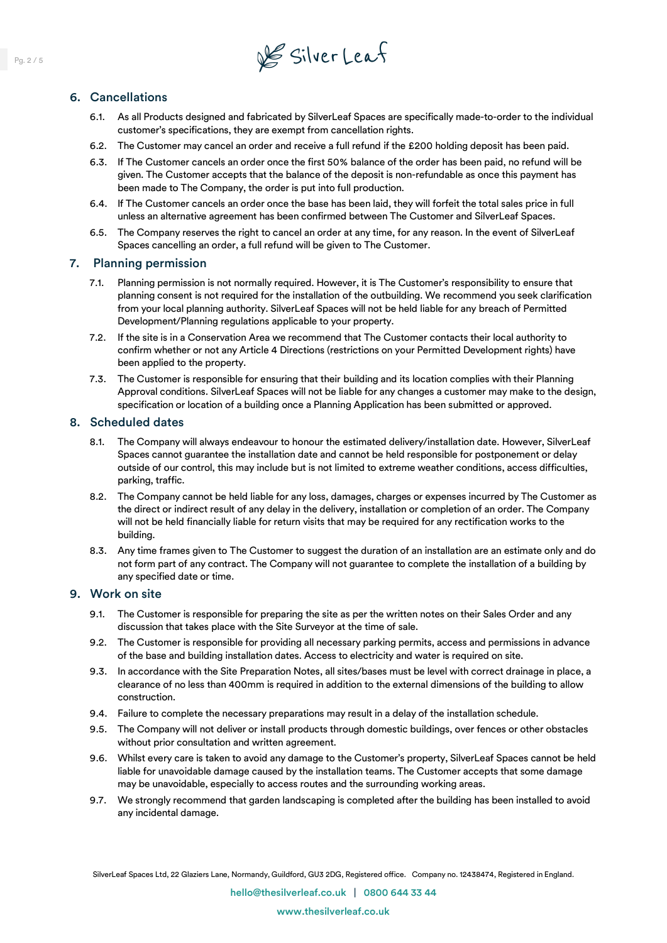

# 6. Cancellations

- 6.1. As all Products designed and fabricated by SilverLeaf Spaces are specifically made-to-order to the individual customer's specifications, they are exempt from cancellation rights.
- 6.2. The Customer may cancel an order and receive a full refund if the £200 holding deposit has been paid.
- 6.3. If The Customer cancels an order once the first 50% balance of the order has been paid, no refund will be given. The Customer accepts that the balance of the deposit is non-refundable as once this payment has been made to The Company, the order is put into full production.
- 6.4. If The Customer cancels an order once the base has been laid, they will forfeit the total sales price in full unless an alternative agreement has been confirmed between The Customer and SilverLeaf Spaces.
- 6.5. The Company reserves the right to cancel an order at any time, for any reason. In the event of SilverLeaf Spaces cancelling an order, a full refund will be given to The Customer.

## 7. Planning permission

- 7.1. Planning permission is not normally required. However, it is The Customer's responsibility to ensure that planning consent is not required for the installation of the outbuilding. We recommend you seek clarification from your local planning authority. SilverLeaf Spaces will not be held liable for any breach of Permitted Development/Planning regulations applicable to your property.
- 7.2. If the site is in a Conservation Area we recommend that The Customer contacts their local authority to confirm whether or not any Article 4 Directions (restrictions on your Permitted Development rights) have been applied to the property.
- 7.3. The Customer is responsible for ensuring that their building and its location complies with their Planning Approval conditions. SilverLeaf Spaces will not be liable for any changes a customer may make to the design, specification or location of a building once a Planning Application has been submitted or approved.

## 8. Scheduled dates

- 8.1. The Company will always endeavour to honour the estimated delivery/installation date. However, SilverLeaf Spaces cannot guarantee the installation date and cannot be held responsible for postponement or delay outside of our control, this may include but is not limited to extreme weather conditions, access difficulties, parking, traffic.
- 8.2. The Company cannot be held liable for any loss, damages, charges or expenses incurred by The Customer as the direct or indirect result of any delay in the delivery, installation or completion of an order. The Company will not be held financially liable for return visits that may be required for any rectification works to the building.
- 8.3. Any time frames given to The Customer to suggest the duration of an installation are an estimate only and do not form part of any contract. The Company will not guarantee to complete the installation of a building by any specified date or time.

## 9. Work on site

- 9.1. The Customer is responsible for preparing the site as per the written notes on their Sales Order and any discussion that takes place with the Site Surveyor at the time of sale.
- 9.2. The Customer is responsible for providing all necessary parking permits, access and permissions in advance of the base and building installation dates. Access to electricity and water is required on site.
- 9.3. In accordance with the Site Preparation Notes, all sites/bases must be level with correct drainage in place, a clearance of no less than 400mm is required in addition to the external dimensions of the building to allow construction.
- 9.4. Failure to complete the necessary preparations may result in a delay of the installation schedule.
- 9.5. The Company will not deliver or install products through domestic buildings, over fences or other obstacles without prior consultation and written agreement.
- 9.6. Whilst every care is taken to avoid any damage to the Customer's property, SilverLeaf Spaces cannot be held liable for unavoidable damage caused by the installation teams. The Customer accepts that some damage may be unavoidable, especially to access routes and the surrounding working areas.
- 9.7. We strongly recommend that garden landscaping is completed after the building has been installed to avoid any incidental damage.

SilverLeaf Spaces Ltd, 22 Glaziers Lane, Normandy, Guildford, GU3 2DG, Registered office. Company no. 12438474, Registered in England.

hello@thesilverleaf.co.uk | 0800 644 33 44

www.thesilverleaf.co.uk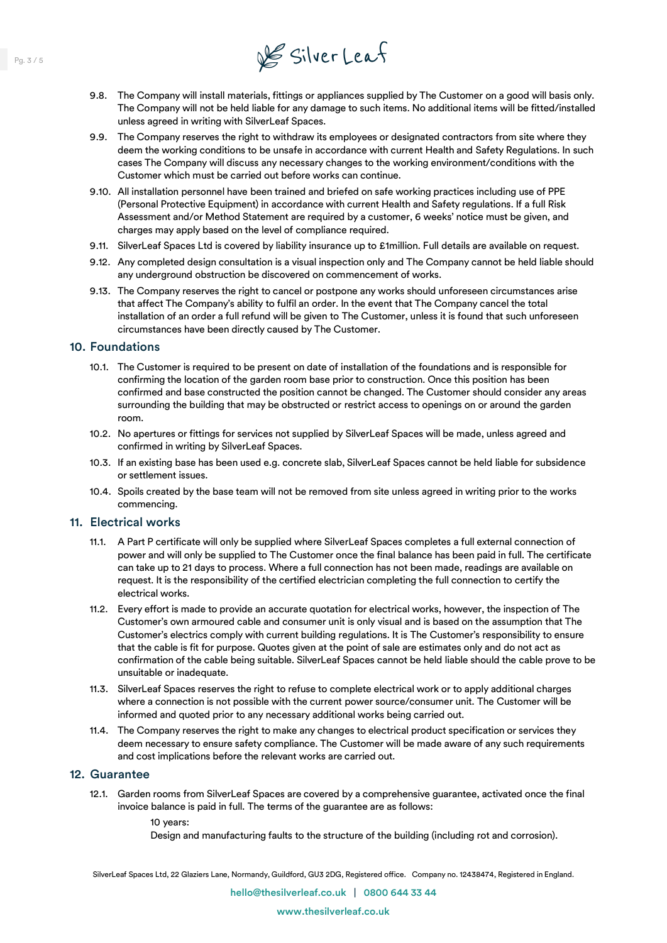

- 9.8. The Company will install materials, fittings or appliances supplied by The Customer on a good will basis only. The Company will not be held liable for any damage to such items. No additional items will be fitted/installed unless agreed in writing with SilverLeaf Spaces.
- 9.9. The Company reserves the right to withdraw its employees or designated contractors from site where they deem the working conditions to be unsafe in accordance with current Health and Safety Regulations. In such cases The Company will discuss any necessary changes to the working environment/conditions with the Customer which must be carried out before works can continue.
- 9.10. All installation personnel have been trained and briefed on safe working practices including use of PPE (Personal Protective Equipment) in accordance with current Health and Safety regulations. If a full Risk Assessment and/or Method Statement are required by a customer, 6 weeks' notice must be given, and charges may apply based on the level of compliance required.
- 9.11. SilverLeaf Spaces Ltd is covered by liability insurance up to £1million. Full details are available on request.
- 9.12. Any completed design consultation is a visual inspection only and The Company cannot be held liable should any underground obstruction be discovered on commencement of works.
- 9.13. The Company reserves the right to cancel or postpone any works should unforeseen circumstances arise that affect The Company's ability to fulfil an order. In the event that The Company cancel the total installation of an order a full refund will be given to The Customer, unless it is found that such unforeseen circumstances have been directly caused by The Customer.

## 10. Foundations

- 10.1. The Customer is required to be present on date of installation of the foundations and is responsible for confirming the location of the garden room base prior to construction. Once this position has been confirmed and base constructed the position cannot be changed. The Customer should consider any areas surrounding the building that may be obstructed or restrict access to openings on or around the garden room.
- 10.2. No apertures or fittings for services not supplied by SilverLeaf Spaces will be made, unless agreed and confirmed in writing by SilverLeaf Spaces.
- 10.3. If an existing base has been used e.g. concrete slab, SilverLeaf Spaces cannot be held liable for subsidence or settlement issues.
- 10.4. Spoils created by the base team will not be removed from site unless agreed in writing prior to the works commencing.

## 11. Electrical works

- 11.1. A Part P certificate will only be supplied where SilverLeaf Spaces completes a full external connection of power and will only be supplied to The Customer once the final balance has been paid in full. The certificate can take up to 21 days to process. Where a full connection has not been made, readings are available on request. It is the responsibility of the certified electrician completing the full connection to certify the electrical works.
- 11.2. Every effort is made to provide an accurate quotation for electrical works, however, the inspection of The Customer's own armoured cable and consumer unit is only visual and is based on the assumption that The Customer's electrics comply with current building regulations. It is The Customer's responsibility to ensure that the cable is fit for purpose. Quotes given at the point of sale are estimates only and do not act as confirmation of the cable being suitable. SilverLeaf Spaces cannot be held liable should the cable prove to be unsuitable or inadequate.
- 11.3. SilverLeaf Spaces reserves the right to refuse to complete electrical work or to apply additional charges where a connection is not possible with the current power source/consumer unit. The Customer will be informed and quoted prior to any necessary additional works being carried out.
- 11.4. The Company reserves the right to make any changes to electrical product specification or services they deem necessary to ensure safety compliance. The Customer will be made aware of any such requirements and cost implications before the relevant works are carried out.

## 12. Guarantee

12.1. Garden rooms from SilverLeaf Spaces are covered by a comprehensive guarantee, activated once the final invoice balance is paid in full. The terms of the guarantee are as follows:

10 years:

Design and manufacturing faults to the structure of the building (including rot and corrosion).

SilverLeaf Spaces Ltd, 22 Glaziers Lane, Normandy, Guildford, GU3 2DG, Registered office. Company no. 12438474, Registered in England.

hello@thesilverleaf.co.uk | 0800 644 33 44

www.thesilverleaf.co.uk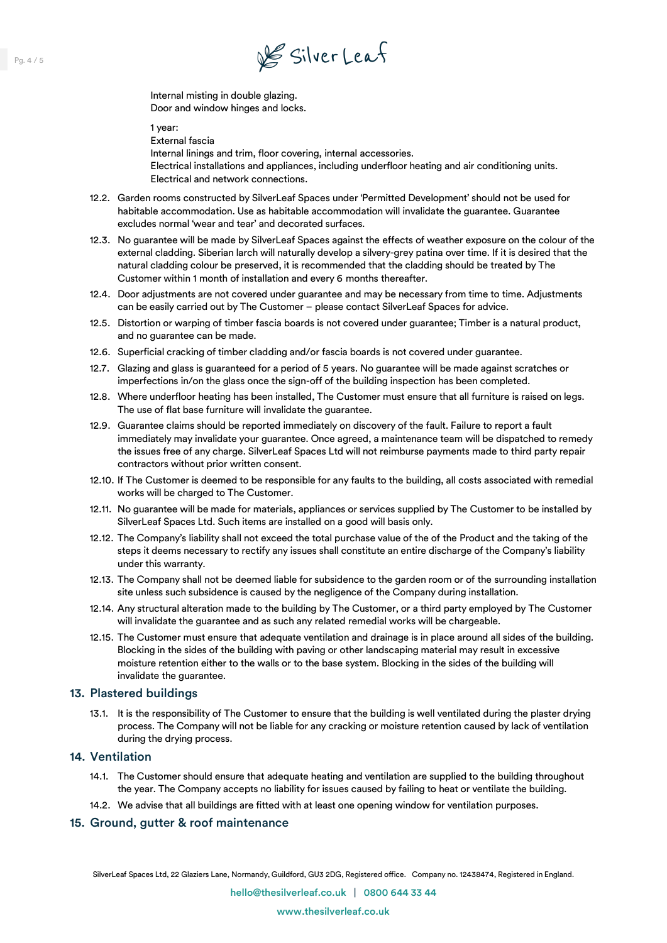

Internal misting in double glazing. Door and window hinges and locks.

1 year:

External fascia

Internal linings and trim, floor covering, internal accessories.

Electrical installations and appliances, including underfloor heating and air conditioning units. Electrical and network connections.

- 12.2. Garden rooms constructed by SilverLeaf Spaces under 'Permitted Development' should not be used for habitable accommodation. Use as habitable accommodation will invalidate the guarantee. Guarantee excludes normal 'wear and tear' and decorated surfaces.
- 12.3. No guarantee will be made by SilverLeaf Spaces against the effects of weather exposure on the colour of the external cladding. Siberian larch will naturally develop a silvery-grey patina over time. If it is desired that the natural cladding colour be preserved, it is recommended that the cladding should be treated by The Customer within 1 month of installation and every 6 months thereafter.
- 12.4. Door adjustments are not covered under guarantee and may be necessary from time to time. Adjustments can be easily carried out by The Customer – please contact SilverLeaf Spaces for advice.
- 12.5. Distortion or warping of timber fascia boards is not covered under guarantee; Timber is a natural product, and no guarantee can be made.
- 12.6. Superficial cracking of timber cladding and/or fascia boards is not covered under guarantee.
- 12.7. Glazing and glass is guaranteed for a period of 5 years. No guarantee will be made against scratches or imperfections in/on the glass once the sign-off of the building inspection has been completed.
- 12.8. Where underfloor heating has been installed, The Customer must ensure that all furniture is raised on legs. The use of flat base furniture will invalidate the guarantee.
- 12.9. Guarantee claims should be reported immediately on discovery of the fault. Failure to report a fault immediately may invalidate your guarantee. Once agreed, a maintenance team will be dispatched to remedy the issues free of any charge. SilverLeaf Spaces Ltd will not reimburse payments made to third party repair contractors without prior written consent.
- 12.10. If The Customer is deemed to be responsible for any faults to the building, all costs associated with remedial works will be charged to The Customer.
- 12.11. No guarantee will be made for materials, appliances or services supplied by The Customer to be installed by SilverLeaf Spaces Ltd. Such items are installed on a good will basis only.
- 12.12. The Company's liability shall not exceed the total purchase value of the of the Product and the taking of the steps it deems necessary to rectify any issues shall constitute an entire discharge of the Company's liability under this warranty.
- 12.13. The Company shall not be deemed liable for subsidence to the garden room or of the surrounding installation site unless such subsidence is caused by the negligence of the Company during installation.
- 12.14. Any structural alteration made to the building by The Customer, or a third party employed by The Customer will invalidate the guarantee and as such any related remedial works will be chargeable.
- 12.15. The Customer must ensure that adequate ventilation and drainage is in place around all sides of the building. Blocking in the sides of the building with paving or other landscaping material may result in excessive moisture retention either to the walls or to the base system. Blocking in the sides of the building will invalidate the guarantee.

#### 13. Plastered buildings

13.1. It is the responsibility of The Customer to ensure that the building is well ventilated during the plaster drying process. The Company will not be liable for any cracking or moisture retention caused by lack of ventilation during the drying process.

## 14. Ventilation

- 14.1. The Customer should ensure that adequate heating and ventilation are supplied to the building throughout the year. The Company accepts no liability for issues caused by failing to heat or ventilate the building.
- 14.2. We advise that all buildings are fitted with at least one opening window for ventilation purposes.

#### 15. Ground, gutter & roof maintenance

SilverLeaf Spaces Ltd, 22 Glaziers Lane, Normandy, Guildford, GU3 2DG, Registered office. Company no. 12438474, Registered in England.

hello@thesilverleaf.co.uk | 0800 644 33 44

www.thesilverleaf.co.uk